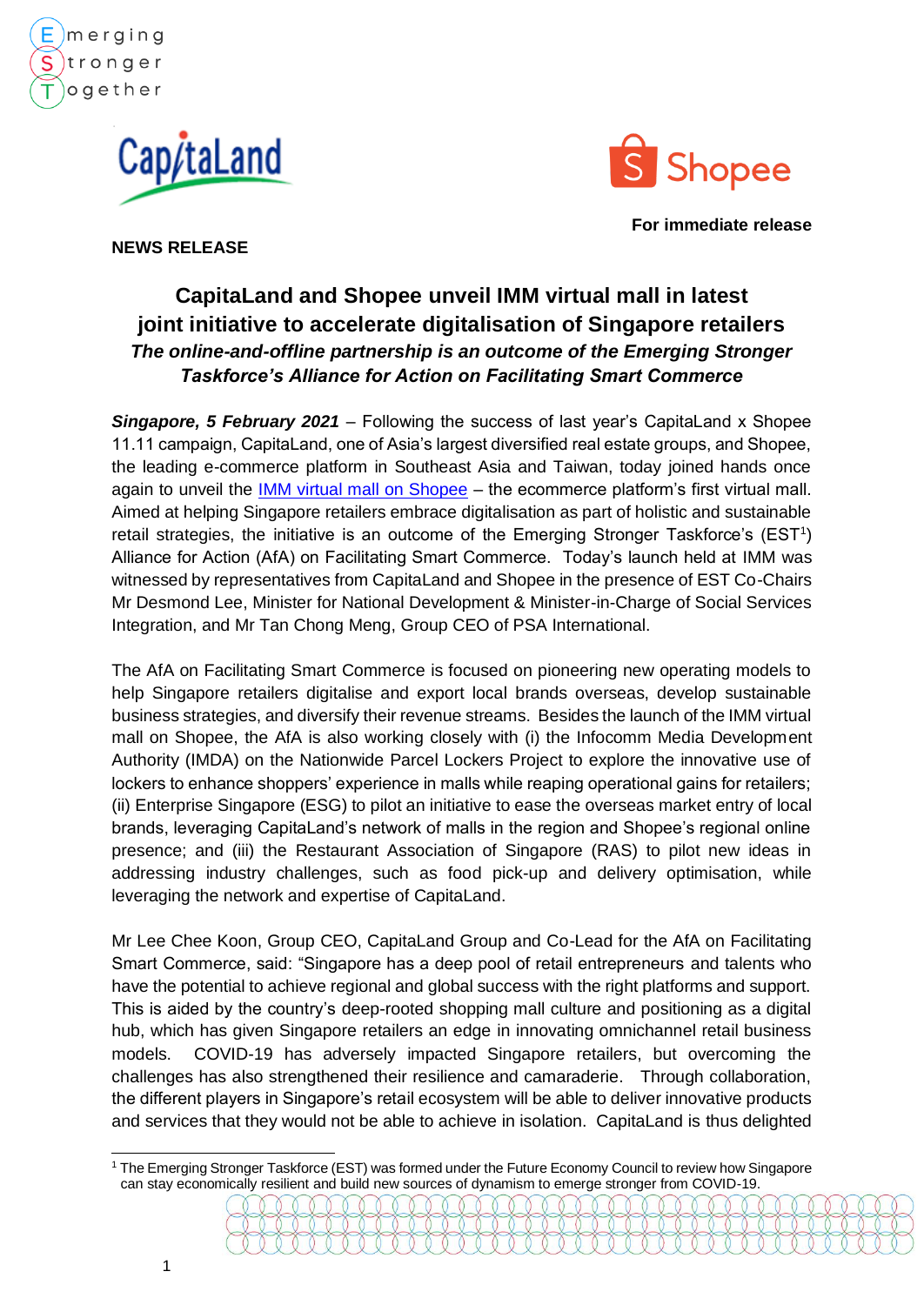

CapitaLand



**For immediate release**

# **NEWS RELEASE**

# **CapitaLand and Shopee unveil IMM virtual mall in latest joint initiative to accelerate digitalisation of Singapore retailers**  *The online-and-offline partnership is an outcome of the Emerging Stronger Taskforce's Alliance for Action on Facilitating Smart Commerce*

**Singapore, 5 February 2021** – Following the success of last year's CapitaLand x Shopee 11.11 campaign, CapitaLand, one of Asia's largest diversified real estate groups, and Shopee, the leading e-commerce platform in Southeast Asia and Taiwan, today joined hands once again to unveil the [IMM virtual mall on Shopee](https://shopee.sg/m/imm-virtual-mall-main) – the ecommerce platform's first virtual mall. Aimed at helping Singapore retailers embrace digitalisation as part of holistic and sustainable retail strategies, the initiative is an outcome of the Emerging Stronger Taskforce's (EST<sup>1</sup>) Alliance for Action (AfA) on Facilitating Smart Commerce. Today's launch held at IMM was witnessed by representatives from CapitaLand and Shopee in the presence of EST Co-Chairs Mr Desmond Lee, Minister for National Development & Minister-in-Charge of Social Services Integration, and Mr Tan Chong Meng, Group CEO of PSA International.

The AfA on Facilitating Smart Commerce is focused on pioneering new operating models to help Singapore retailers digitalise and export local brands overseas, develop sustainable business strategies, and diversify their revenue streams. Besides the launch of the IMM virtual mall on Shopee, the AfA is also working closely with (i) the Infocomm Media Development Authority (IMDA) on the Nationwide Parcel Lockers Project to explore the innovative use of lockers to enhance shoppers' experience in malls while reaping operational gains for retailers; (ii) Enterprise Singapore (ESG) to pilot an initiative to ease the overseas market entry of local brands, leveraging CapitaLand's network of malls in the region and Shopee's regional online presence; and (iii) the Restaurant Association of Singapore (RAS) to pilot new ideas in addressing industry challenges, such as food pick-up and delivery optimisation, while leveraging the network and expertise of CapitaLand.

Mr Lee Chee Koon, Group CEO, CapitaLand Group and Co-Lead for the AfA on Facilitating Smart Commerce, said: "Singapore has a deep pool of retail entrepreneurs and talents who have the potential to achieve regional and global success with the right platforms and support. This is aided by the country's deep-rooted shopping mall culture and positioning as a digital hub, which has given Singapore retailers an edge in innovating omnichannel retail business models. COVID-19 has adversely impacted Singapore retailers, but overcoming the challenges has also strengthened their resilience and camaraderie. Through collaboration, the different players in Singapore's retail ecosystem will be able to deliver innovative products and services that they would not be able to achieve in isolation. CapitaLand is thus delighted

<sup>1</sup> The Emerging Stronger Taskforce (EST) was formed under the Future Economy Council to review how Singapore can stay economically resilient and build new sources of dynamism to emerge stronger from COVID-19.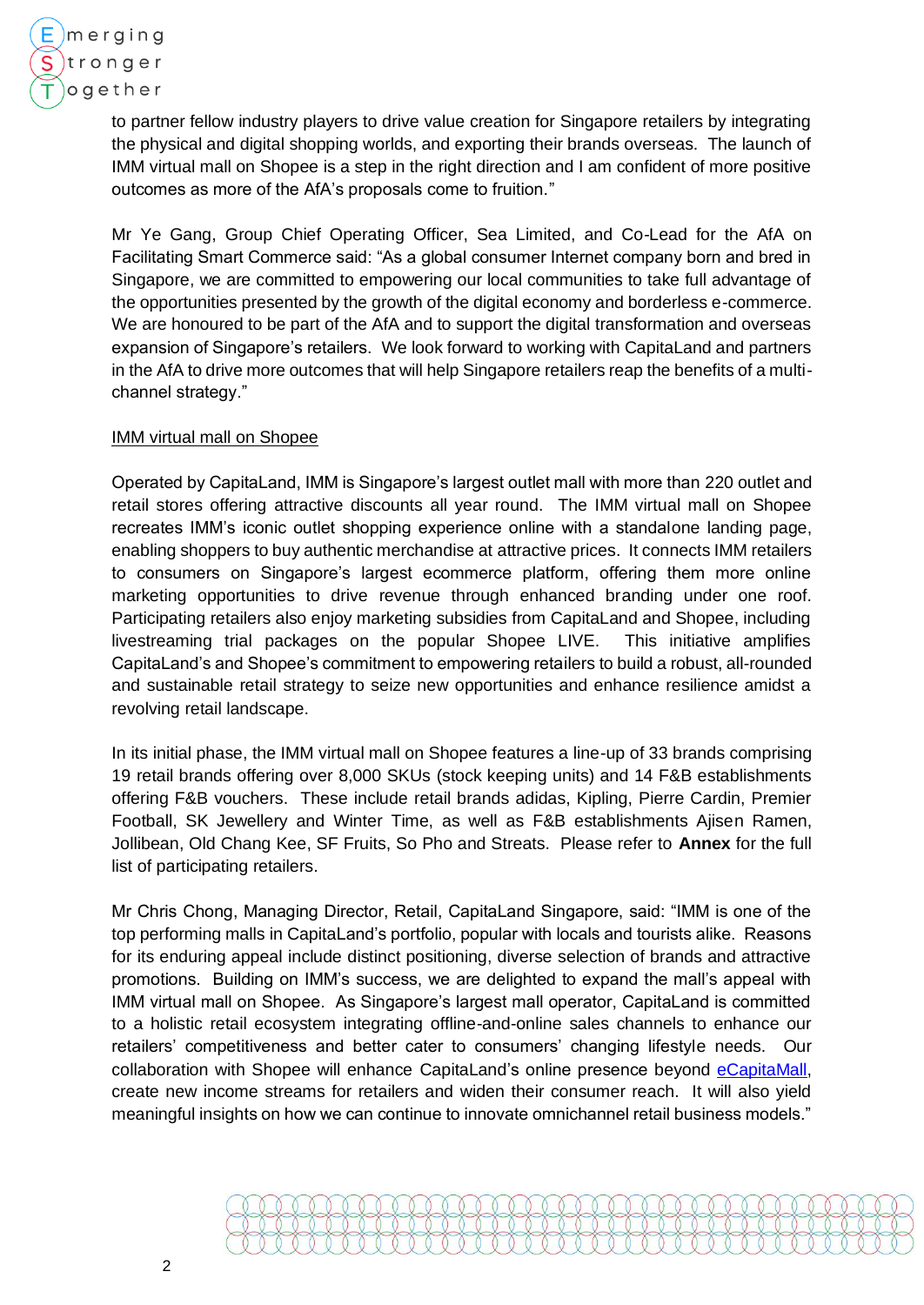

to partner fellow industry players to drive value creation for Singapore retailers by integrating the physical and digital shopping worlds, and exporting their brands overseas. The launch of IMM virtual mall on Shopee is a step in the right direction and I am confident of more positive outcomes as more of the AfA's proposals come to fruition."

Mr Ye Gang, Group Chief Operating Officer, Sea Limited, and Co-Lead for the AfA on Facilitating Smart Commerce said: "As a global consumer Internet company born and bred in Singapore, we are committed to empowering our local communities to take full advantage of the opportunities presented by the growth of the digital economy and borderless e-commerce. We are honoured to be part of the AfA and to support the digital transformation and overseas expansion of Singapore's retailers. We look forward to working with CapitaLand and partners in the AfA to drive more outcomes that will help Singapore retailers reap the benefits of a multichannel strategy."

### IMM virtual mall on Shopee

Operated by CapitaLand, IMM is Singapore's largest outlet mall with more than 220 outlet and retail stores offering attractive discounts all year round. The IMM virtual mall on Shopee recreates IMM's iconic outlet shopping experience online with a standalone landing page, enabling shoppers to buy authentic merchandise at attractive prices. It connects IMM retailers to consumers on Singapore's largest ecommerce platform, offering them more online marketing opportunities to drive revenue through enhanced branding under one roof. Participating retailers also enjoy marketing subsidies from CapitaLand and Shopee, including livestreaming trial packages on the popular Shopee LIVE. This initiative amplifies CapitaLand's and Shopee's commitment to empowering retailers to build a robust, all-rounded and sustainable retail strategy to seize new opportunities and enhance resilience amidst a revolving retail landscape.

In its initial phase, the IMM virtual mall on Shopee features a line-up of 33 brands comprising 19 retail brands offering over 8,000 SKUs (stock keeping units) and 14 F&B establishments offering F&B vouchers. These include retail brands adidas, Kipling, Pierre Cardin, Premier Football, SK Jewellery and Winter Time, as well as F&B establishments Ajisen Ramen, Jollibean, Old Chang Kee, SF Fruits, So Pho and Streats. Please refer to **Annex** for the full list of participating retailers.

Mr Chris Chong, Managing Director, Retail, CapitaLand Singapore, said: "IMM is one of the top performing malls in CapitaLand's portfolio, popular with locals and tourists alike. Reasons for its enduring appeal include distinct positioning, diverse selection of brands and attractive promotions. Building on IMM's success, we are delighted to expand the mall's appeal with IMM virtual mall on Shopee. As Singapore's largest mall operator, CapitaLand is committed to a holistic retail ecosystem integrating offline-and-online sales channels to enhance our retailers' competitiveness and better cater to consumers' changing lifestyle needs. Our collaboration with Shopee will enhance CapitaLand's online presence beyond [eCapitaMall,](https://www.ecapitamall.com/) create new income streams for retailers and widen their consumer reach. It will also yield meaningful insights on how we can continue to innovate omnichannel retail business models."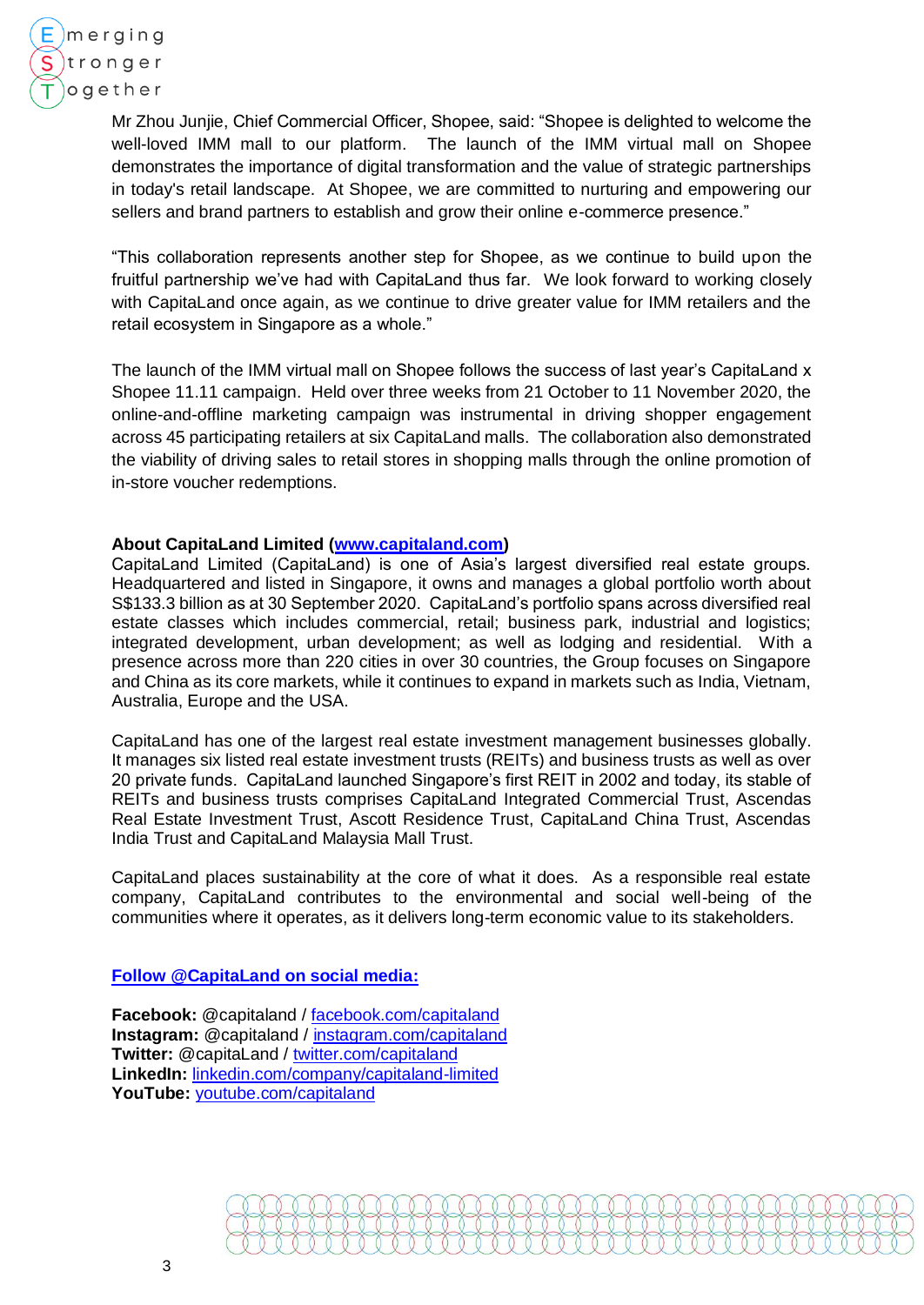

Mr Zhou Junjie, Chief Commercial Officer, Shopee, said: "Shopee is delighted to welcome the well-loved IMM mall to our platform. The launch of the IMM virtual mall on Shopee demonstrates the importance of digital transformation and the value of strategic partnerships in today's retail landscape. At Shopee, we are committed to nurturing and empowering our sellers and brand partners to establish and grow their online e-commerce presence."

"This collaboration represents another step for Shopee, as we continue to build upon the fruitful partnership we've had with CapitaLand thus far. We look forward to working closely with CapitaLand once again, as we continue to drive greater value for IMM retailers and the retail ecosystem in Singapore as a whole."

The launch of the IMM virtual mall on Shopee follows the success of last year's CapitaLand x Shopee 11.11 campaign. Held over three weeks from 21 October to 11 November 2020, the online-and-offline marketing campaign was instrumental in driving shopper engagement across 45 participating retailers at six CapitaLand malls. The collaboration also demonstrated the viability of driving sales to retail stores in shopping malls through the online promotion of in-store voucher redemptions.

### **About CapitaLand Limited [\(www.capitaland.com\)](http://www.capitaland.com/)**

CapitaLand Limited (CapitaLand) is one of Asia's largest diversified real estate groups. Headquartered and listed in Singapore, it owns and manages a global portfolio worth about S\$133.3 billion as at 30 September 2020. CapitaLand's portfolio spans across diversified real estate classes which includes commercial, retail; business park, industrial and logistics; integrated development, urban development; as well as lodging and residential. With a presence across more than 220 cities in over 30 countries, the Group focuses on Singapore and China as its core markets, while it continues to expand in markets such as India, Vietnam, Australia, Europe and the USA.

CapitaLand has one of the largest real estate investment management businesses globally. It manages six listed real estate investment trusts (REITs) and business trusts as well as over 20 private funds. CapitaLand launched Singapore's first REIT in 2002 and today, its stable of REITs and business trusts comprises CapitaLand Integrated Commercial Trust, Ascendas Real Estate Investment Trust, Ascott Residence Trust, CapitaLand China Trust, Ascendas India Trust and CapitaLand Malaysia Mall Trust.

CapitaLand places sustainability at the core of what it does. As a responsible real estate company, CapitaLand contributes to the environmental and social well-being of the communities where it operates, as it delivers long-term economic value to its stakeholders.

#### **[Follow @CapitaLand on social media:](https://www.capitaland.com/international/en/more-from-capitaland/social-media.html?cid=NewsRelease:Aug18:Digital:PDF:SocialMediaPage)**

**Facebook:** @capitaland / [facebook.com/capitaland](http://facebook.com/capitaland) **Instagram:** @capitaland / [instagram.com/capitaland](https://instagram.com/capitaland) **Twitter:** @capitaLand / [twitter.com/capitaland](https://twitter.com/CapitaLand) **LinkedIn:** [linkedin.com/company/capitaland-limited](http://www.linkedin.com/company/capitaland-limited) **YouTube:** [youtube.com/capitaland](http://www.youtube.com/capitaland)

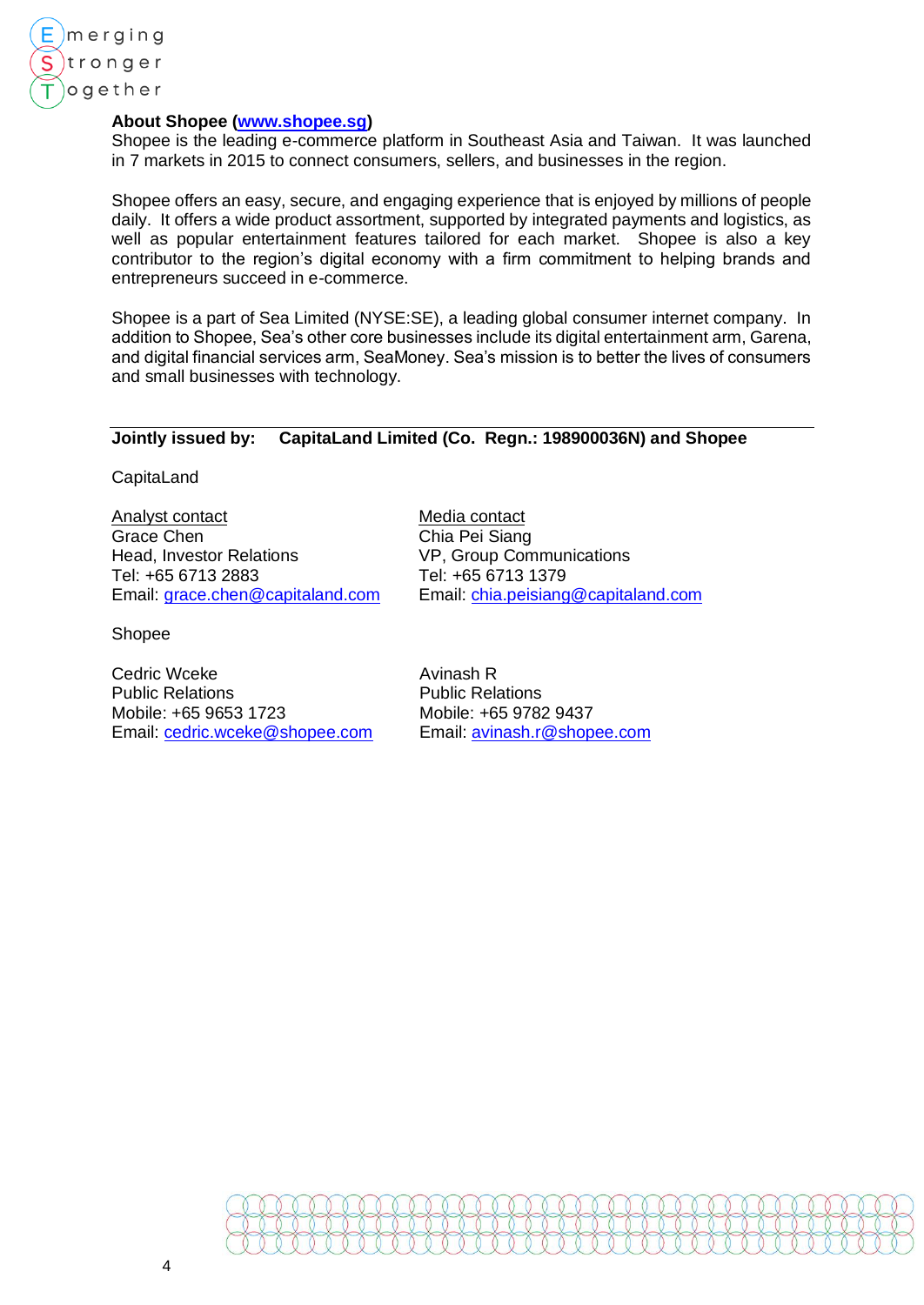

# **About Shopee [\(www.shopee.sg\)](https://shopee.sg/)**

Shopee is the leading e-commerce platform in Southeast Asia and Taiwan. It was launched in 7 markets in 2015 to connect consumers, sellers, and businesses in the region.

Shopee offers an easy, secure, and engaging experience that is enjoyed by millions of people daily. It offers a wide product assortment, supported by integrated payments and logistics, as well as popular entertainment features tailored for each market. Shopee is also a key contributor to the region's digital economy with a firm commitment to helping brands and entrepreneurs succeed in e-commerce.

Shopee is a part of Sea Limited (NYSE:SE), a leading global consumer internet company. In addition to Shopee, Sea's other core businesses include its digital entertainment arm, Garena, and digital financial services arm, SeaMoney. Sea's mission is to better the lives of consumers and small businesses with technology.

# **Jointly issued by: CapitaLand Limited (Co. Regn.: 198900036N) and Shopee**

**CapitaLand** 

Analyst contact Media contact Grace Chen<br>
Head. Investor Relations<br>
VP. Group Con Tel: +65 6713 2883 Tel: +65 6713 1379

VP, Group Communications Email: [grace.chen@capitaland.com](mailto:grace.chen@capitaland.com) Email: [chia.peisiang@capitaland.com](mailto:chia.peisiang@capitaland.com)

Shopee

Cedric Wceke Avinash R Public Relations **Public Relations** Mobile: +65 9653 1723 Mobile: +65 9782 9437 Email: [cedric.wceke@shopee.com](mailto:cedric.wceke@shopee.com) Email: [avinash.r@shopee.com](mailto:avinash.r@shopee.com)